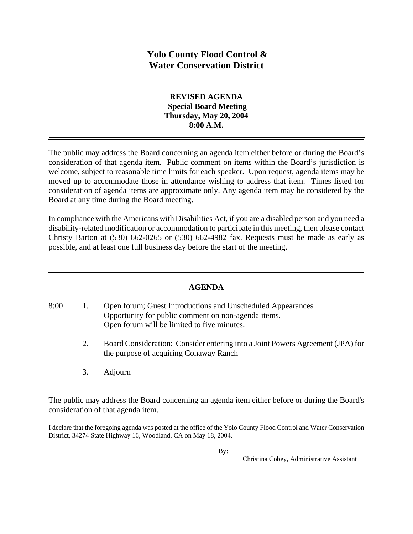## **REVISED AGENDA Special Board Meeting Thursday, May 20, 2004 8:00 A.M.**

The public may address the Board concerning an agenda item either before or during the Board's consideration of that agenda item. Public comment on items within the Board's jurisdiction is welcome, subject to reasonable time limits for each speaker. Upon request, agenda items may be moved up to accommodate those in attendance wishing to address that item. Times listed for consideration of agenda items are approximate only. Any agenda item may be considered by the Board at any time during the Board meeting.

In compliance with the Americans with Disabilities Act, if you are a disabled person and you need a disability-related modification or accommodation to participate in this meeting, then please contact Christy Barton at  $(530)$  662-0265 or  $(530)$  662-4982 fax. Requests must be made as early as possible, and at least one full business day before the start of the meeting.

## **AGENDA**

- 8:00 1. Open forum; Guest Introductions and Unscheduled Appearances Opportunity for public comment on non-agenda items. Open forum will be limited to five minutes.
	- 2. Board Consideration: Consider entering into a Joint Powers Agreement (JPA) for the purpose of acquiring Conaway Ranch
	- 3. Adjourn

The public may address the Board concerning an agenda item either before or during the Board's consideration of that agenda item.

I declare that the foregoing agenda was posted at the office of the Yolo County Flood Control and Water Conservation District, 34274 State Highway 16, Woodland, CA on May 18, 2004.

By: \_\_\_\_\_\_\_\_\_\_\_\_\_\_\_\_\_\_\_\_\_\_\_\_\_\_\_\_\_\_\_\_\_\_\_\_

Christina Cobey, Administrative Assistant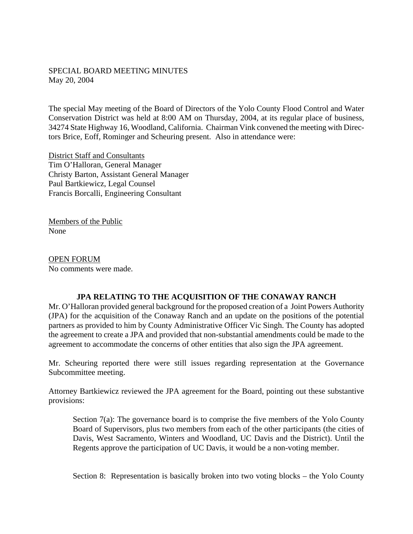## SPECIAL BOARD MEETING MINUTES May 20, 2004

The special May meeting of the Board of Directors of the Yolo County Flood Control and Water Conservation District was held at 8:00 AM on Thursday, 2004, at its regular place of business, 34274 State Highway 16, Woodland, California. Chairman Vink convened the meeting with Directors Brice, Eoff, Rominger and Scheuring present. Also in attendance were:

District Staff and Consultants Tim O'Halloran, General Manager Christy Barton, Assistant General Manager Paul Bartkiewicz, Legal Counsel Francis Borcalli, Engineering Consultant

Members of the Public None

OPEN FORUM No comments were made.

## **JPA RELATING TO THE ACQUISITION OF THE CONAWAY RANCH**

Mr. O'Halloran provided general background for the proposed creation of a Joint Powers Authority (JPA) for the acquisition of the Conaway Ranch and an update on the positions of the potential partners as provided to him by County Administrative Officer Vic Singh. The County has adopted the agreement to create a JPA and provided that non-substantial amendments could be made to the agreement to accommodate the concerns of other entities that also sign the JPA agreement.

Mr. Scheuring reported there were still issues regarding representation at the Governance Subcommittee meeting.

Attorney Bartkiewicz reviewed the JPA agreement for the Board, pointing out these substantive provisions:

Section 7(a): The governance board is to comprise the five members of the Yolo County Board of Supervisors, plus two members from each of the other participants (the cities of Davis, West Sacramento, Winters and Woodland, UC Davis and the District). Until the Regents approve the participation of UC Davis, it would be a non-voting member.

Section 8: Representation is basically broken into two voting blocks – the Yolo County